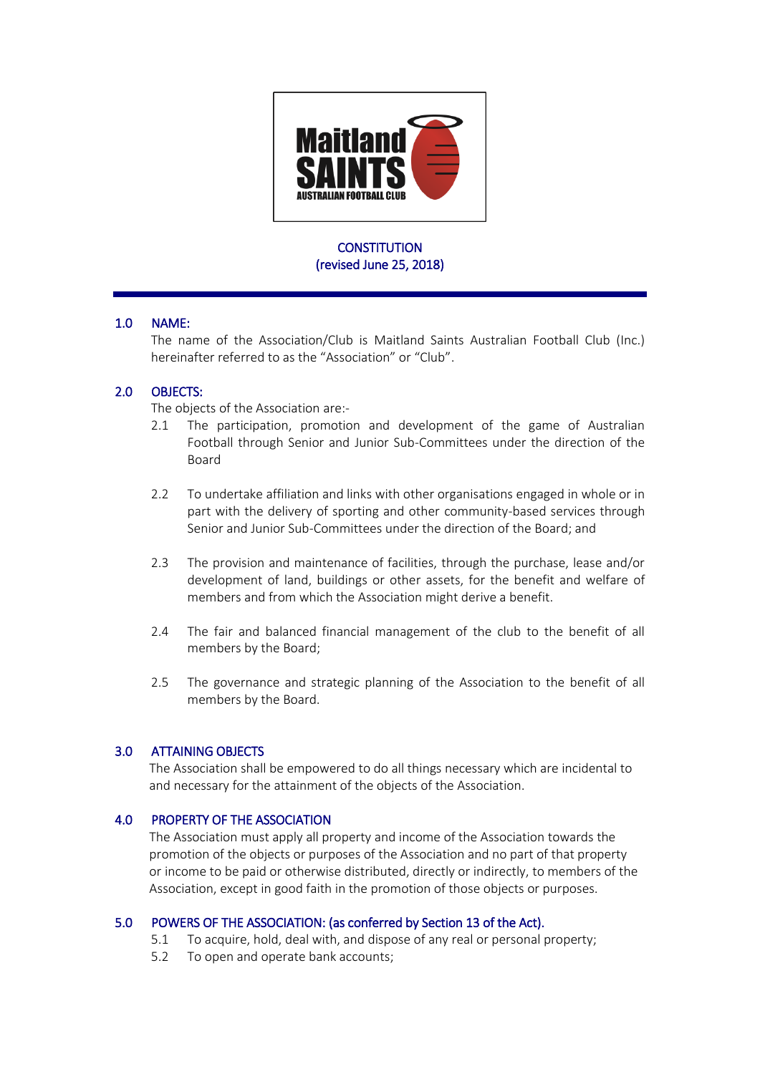

# **CONSTITUTION** (revised June 25, 2018)

## 1.0 NAME:

The name of the Association/Club is Maitland Saints Australian Football Club (Inc.) hereinafter referred to as the "Association" or "Club".

## 2.0 OBJECTS:

The objects of the Association are:-

- 2.1 The participation, promotion and development of the game of Australian Football through Senior and Junior Sub-Committees under the direction of the Board
- 2.2 To undertake affiliation and links with other organisations engaged in whole or in part with the delivery of sporting and other community-based services through Senior and Junior Sub-Committees under the direction of the Board; and
- 2.3 The provision and maintenance of facilities, through the purchase, lease and/or development of land, buildings or other assets, for the benefit and welfare of members and from which the Association might derive a benefit.
- 2.4 The fair and balanced financial management of the club to the benefit of all members by the Board;
- 2.5 The governance and strategic planning of the Association to the benefit of all members by the Board.

### 3.0 ATTAINING OBJECTS

The Association shall be empowered to do all things necessary which are incidental to and necessary for the attainment of the objects of the Association.

### 4.0 PROPERTY OF THE ASSOCIATION

The Association must apply all property and income of the Association towards the promotion of the objects or purposes of the Association and no part of that property or income to be paid or otherwise distributed, directly or indirectly, to members of the Association, except in good faith in the promotion of those objects or purposes.

### 5.0 POWERS OF THE ASSOCIATION: (as conferred by Section 13 of the Act).

- 5.1 To acquire, hold, deal with, and dispose of any real or personal property;
- 5.2 To open and operate bank accounts;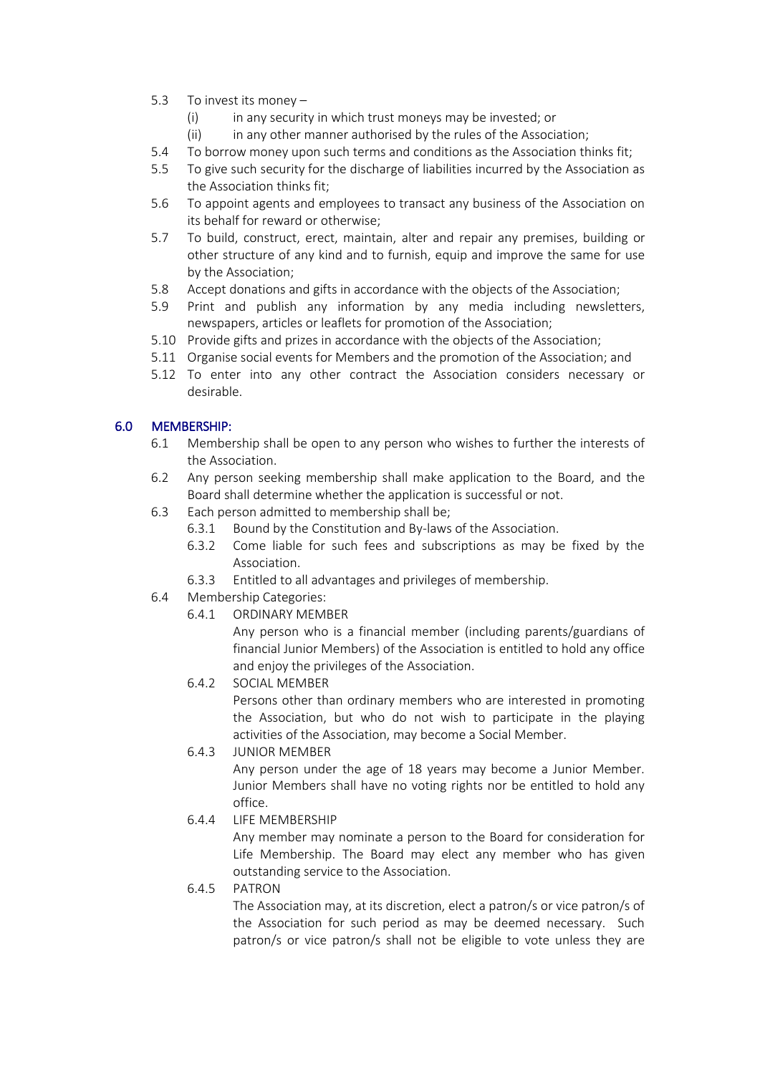- 5.3 To invest its money
	- (i) in any security in which trust moneys may be invested; or
	- (ii) in any other manner authorised by the rules of the Association;
- 5.4 To borrow money upon such terms and conditions as the Association thinks fit;
- 5.5 To give such security for the discharge of liabilities incurred by the Association as the Association thinks fit;
- 5.6 To appoint agents and employees to transact any business of the Association on its behalf for reward or otherwise;
- 5.7 To build, construct, erect, maintain, alter and repair any premises, building or other structure of any kind and to furnish, equip and improve the same for use by the Association;
- 5.8 Accept donations and gifts in accordance with the objects of the Association;
- 5.9 Print and publish any information by any media including newsletters, newspapers, articles or leaflets for promotion of the Association;
- 5.10 Provide gifts and prizes in accordance with the objects of the Association;
- 5.11 Organise social events for Members and the promotion of the Association; and
- 5.12 To enter into any other contract the Association considers necessary or desirable.

## 6.0 MEMBERSHIP:

- 6.1 Membership shall be open to any person who wishes to further the interests of the Association.
- 6.2 Any person seeking membership shall make application to the Board, and the Board shall determine whether the application is successful or not.
- 6.3 Each person admitted to membership shall be;
	- 6.3.1 Bound by the Constitution and By-laws of the Association.
		- 6.3.2 Come liable for such fees and subscriptions as may be fixed by the Association.
		- 6.3.3 Entitled to all advantages and privileges of membership.
- 6.4 Membership Categories:
	- 6.4.1 ORDINARY MEMBER

Any person who is a financial member (including parents/guardians of financial Junior Members) of the Association is entitled to hold any office and enjoy the privileges of the Association.

6.4.2 SOCIAL MEMBER

Persons other than ordinary members who are interested in promoting the Association, but who do not wish to participate in the playing activities of the Association, may become a Social Member.

6.4.3 JUNIOR MEMBER

Any person under the age of 18 years may become a Junior Member. Junior Members shall have no voting rights nor be entitled to hold any office.

6.4.4 LIFE MEMBERSHIP

Any member may nominate a person to the Board for consideration for Life Membership. The Board may elect any member who has given outstanding service to the Association.

6.4.5 PATRON

The Association may, at its discretion, elect a patron/s or vice patron/s of the Association for such period as may be deemed necessary. Such patron/s or vice patron/s shall not be eligible to vote unless they are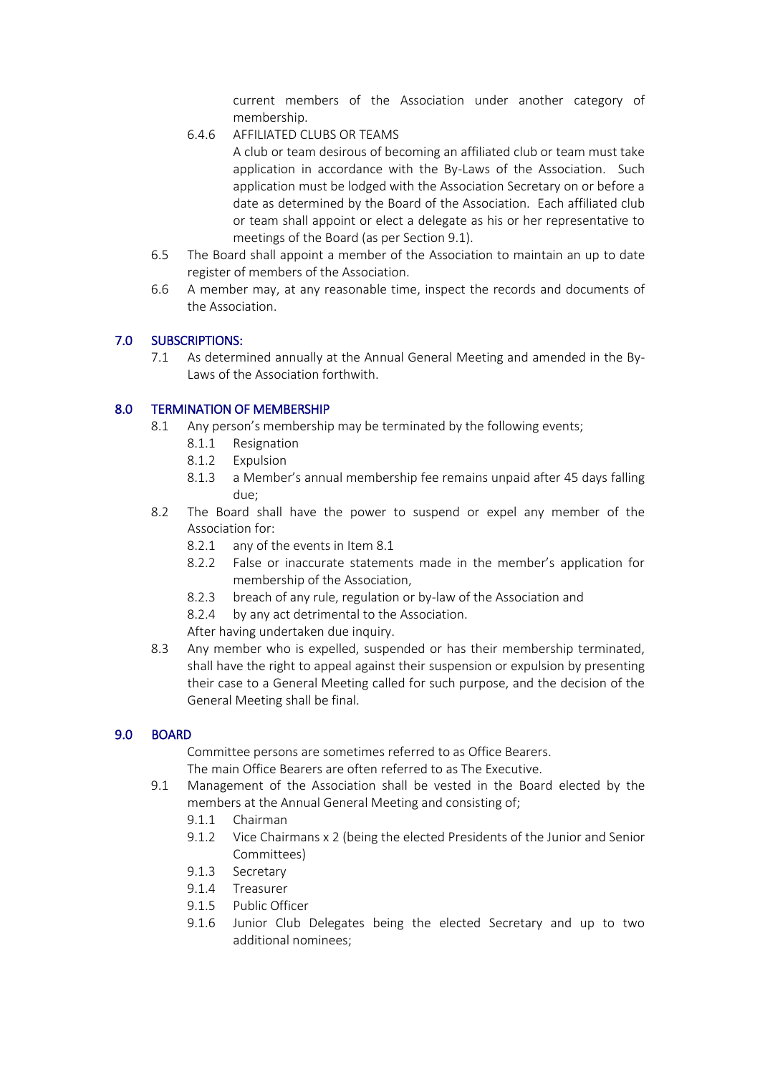current members of the Association under another category of membership.

6.4.6 AFFILIATED CLUBS OR TEAMS

A club or team desirous of becoming an affiliated club or team must take application in accordance with the By-Laws of the Association. Such application must be lodged with the Association Secretary on or before a date as determined by the Board of the Association. Each affiliated club or team shall appoint or elect a delegate as his or her representative to meetings of the Board (as per Section 9.1).

- 6.5 The Board shall appoint a member of the Association to maintain an up to date register of members of the Association.
- 6.6 A member may, at any reasonable time, inspect the records and documents of the Association.

## 7.0 SUBSCRIPTIONS:

7.1 As determined annually at the Annual General Meeting and amended in the By-Laws of the Association forthwith.

## 8.0 TERMINATION OF MEMBERSHIP

- 8.1 Any person's membership may be terminated by the following events;
	- 8.1.1 Resignation
	- 8.1.2 Expulsion
	- 8.1.3 a Member's annual membership fee remains unpaid after 45 days falling due;
- 8.2 The Board shall have the power to suspend or expel any member of the Association for:
	- 8.2.1 any of the events in Item 8.1
	- 8.2.2 False or inaccurate statements made in the member's application for membership of the Association,
	- 8.2.3 breach of any rule, regulation or by-law of the Association and
	- 8.2.4 by any act detrimental to the Association.
	- After having undertaken due inquiry.
- 8.3 Any member who is expelled, suspended or has their membership terminated, shall have the right to appeal against their suspension or expulsion by presenting their case to a General Meeting called for such purpose, and the decision of the General Meeting shall be final.

### 9.0 BOARD

Committee persons are sometimes referred to as Office Bearers.

The main Office Bearers are often referred to as The Executive.

- 9.1 Management of the Association shall be vested in the Board elected by the members at the Annual General Meeting and consisting of;
	- 9.1.1 Chairman
	- 9.1.2 Vice Chairmans x 2 (being the elected Presidents of the Junior and Senior Committees)
	- 9.1.3 Secretary
	- 9.1.4 Treasurer
	- 9.1.5 Public Officer
	- 9.1.6 Junior Club Delegates being the elected Secretary and up to two additional nominees;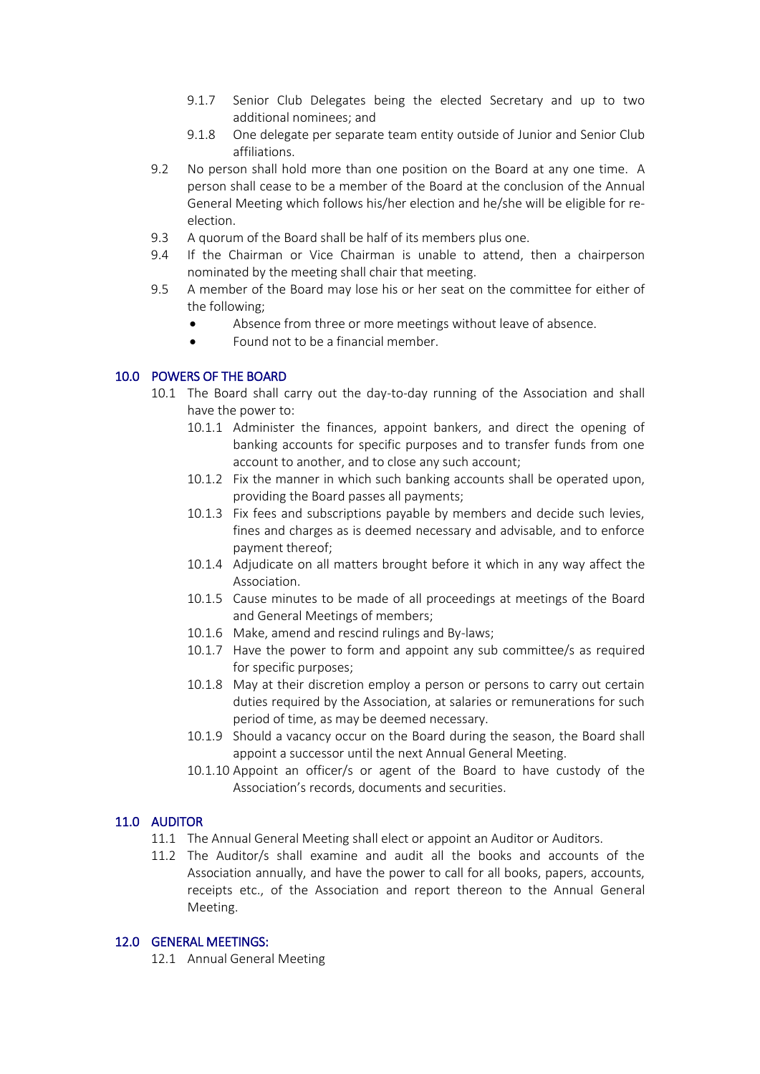- 9.1.7 Senior Club Delegates being the elected Secretary and up to two additional nominees; and
- 9.1.8 One delegate per separate team entity outside of Junior and Senior Club affiliations.
- 9.2 No person shall hold more than one position on the Board at any one time. A person shall cease to be a member of the Board at the conclusion of the Annual General Meeting which follows his/her election and he/she will be eligible for reelection.
- 9.3 A quorum of the Board shall be half of its members plus one.
- 9.4 If the Chairman or Vice Chairman is unable to attend, then a chairperson nominated by the meeting shall chair that meeting.
- 9.5 A member of the Board may lose his or her seat on the committee for either of the following;
	- Absence from three or more meetings without leave of absence.
	- Found not to be a financial member.

#### 10.0 POWERS OF THE BOARD

- 10.1 The Board shall carry out the day-to-day running of the Association and shall have the power to:
	- 10.1.1 Administer the finances, appoint bankers, and direct the opening of banking accounts for specific purposes and to transfer funds from one account to another, and to close any such account;
	- 10.1.2 Fix the manner in which such banking accounts shall be operated upon, providing the Board passes all payments;
	- 10.1.3 Fix fees and subscriptions payable by members and decide such levies, fines and charges as is deemed necessary and advisable, and to enforce payment thereof;
	- 10.1.4 Adjudicate on all matters brought before it which in any way affect the Association.
	- 10.1.5 Cause minutes to be made of all proceedings at meetings of the Board and General Meetings of members;
	- 10.1.6 Make, amend and rescind rulings and By-laws;
	- 10.1.7 Have the power to form and appoint any sub committee/s as required for specific purposes;
	- 10.1.8 May at their discretion employ a person or persons to carry out certain duties required by the Association, at salaries or remunerations for such period of time, as may be deemed necessary.
	- 10.1.9 Should a vacancy occur on the Board during the season, the Board shall appoint a successor until the next Annual General Meeting.
	- 10.1.10 Appoint an officer/s or agent of the Board to have custody of the Association's records, documents and securities.

### 11.0 AUDITOR

- 11.1 The Annual General Meeting shall elect or appoint an Auditor or Auditors.
- 11.2 The Auditor/s shall examine and audit all the books and accounts of the Association annually, and have the power to call for all books, papers, accounts, receipts etc., of the Association and report thereon to the Annual General Meeting.

#### 12.0 GENERAL MEETINGS:

12.1 Annual General Meeting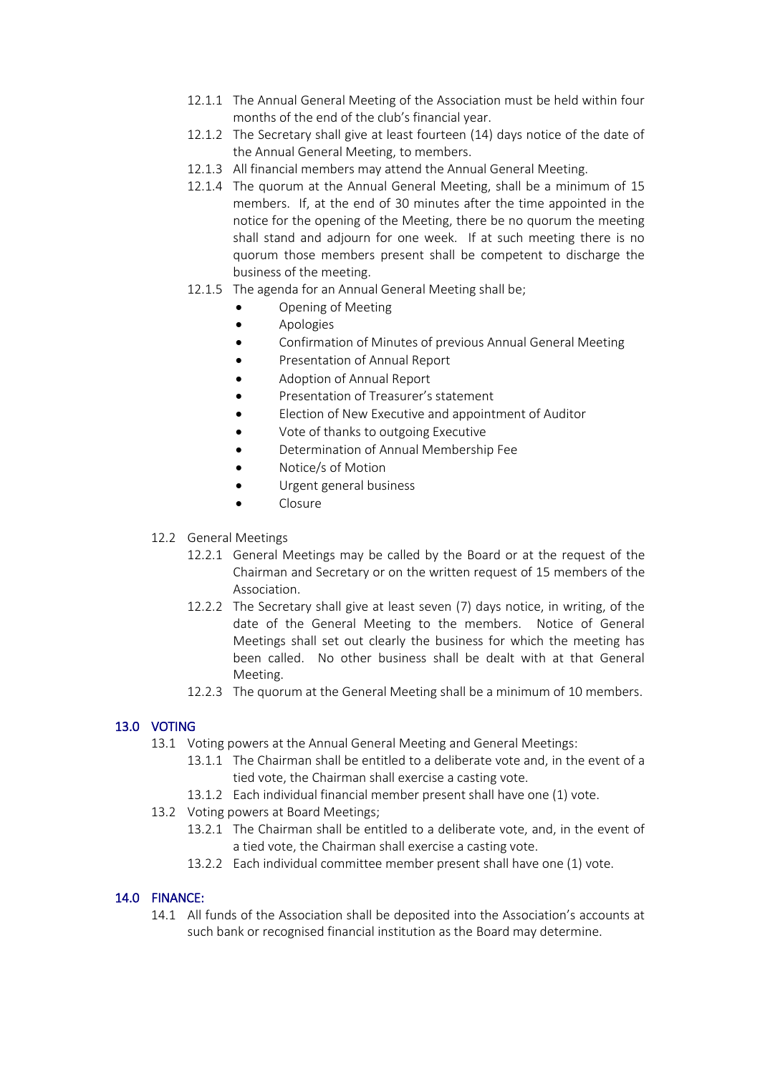- 12.1.1 The Annual General Meeting of the Association must be held within four months of the end of the club's financial year.
- 12.1.2 The Secretary shall give at least fourteen (14) days notice of the date of the Annual General Meeting, to members.
- 12.1.3 All financial members may attend the Annual General Meeting.
- 12.1.4 The quorum at the Annual General Meeting, shall be a minimum of 15 members. If, at the end of 30 minutes after the time appointed in the notice for the opening of the Meeting, there be no quorum the meeting shall stand and adjourn for one week. If at such meeting there is no quorum those members present shall be competent to discharge the business of the meeting.
- 12.1.5 The agenda for an Annual General Meeting shall be;
	- Opening of Meeting
	- Apologies
	- Confirmation of Minutes of previous Annual General Meeting
	- Presentation of Annual Report
	- Adoption of Annual Report
	- **•** Presentation of Treasurer's statement
	- Election of New Executive and appointment of Auditor
	- Vote of thanks to outgoing Executive
	- Determination of Annual Membership Fee
	- Notice/s of Motion
	- Urgent general business
	- Closure

### 12.2 General Meetings

- 12.2.1 General Meetings may be called by the Board or at the request of the Chairman and Secretary or on the written request of 15 members of the Association.
- 12.2.2 The Secretary shall give at least seven (7) days notice, in writing, of the date of the General Meeting to the members. Notice of General Meetings shall set out clearly the business for which the meeting has been called. No other business shall be dealt with at that General Meeting.
- 12.2.3 The quorum at the General Meeting shall be a minimum of 10 members.

### 13.0 VOTING

- 13.1 Voting powers at the Annual General Meeting and General Meetings:
	- 13.1.1 The Chairman shall be entitled to a deliberate vote and, in the event of a tied vote, the Chairman shall exercise a casting vote.
	- 13.1.2 Each individual financial member present shall have one (1) vote.
- 13.2 Voting powers at Board Meetings;
	- 13.2.1 The Chairman shall be entitled to a deliberate vote, and, in the event of a tied vote, the Chairman shall exercise a casting vote.
	- 13.2.2 Each individual committee member present shall have one (1) vote.

### 14.0 FINANCE:

14.1 All funds of the Association shall be deposited into the Association's accounts at such bank or recognised financial institution as the Board may determine.